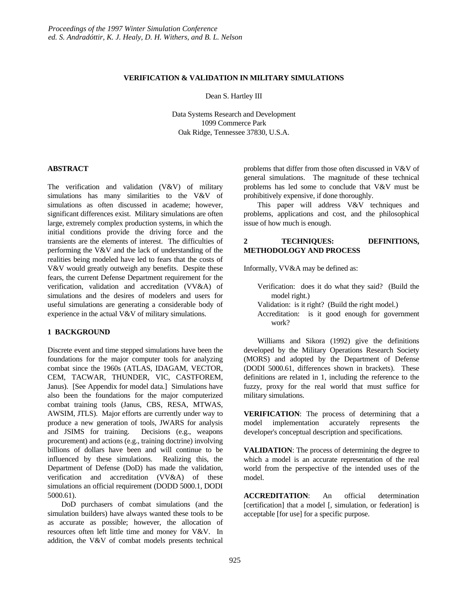# **VERIFICATION & VALIDATION IN MILITARY SIMULATIONS**

Dean S. Hartley III

Data Systems Research and Development 1099 Commerce Park Oak Ridge, Tennessee 37830, U.S.A.

## **ABSTRACT**

The verification and validation (V&V) of military simulations has many similarities to the V&V of simulations as often discussed in academe; however, significant differences exist. Military simulations are often large, extremely complex production systems, in which the initial conditions provide the driving force and the transients are the elements of interest. The difficulties of performing the V&V and the lack of understanding of the realities being modeled have led to fears that the costs of V&V would greatly outweigh any benefits. Despite these fears, the current Defense Department requirement for the verification, validation and accreditation (VV&A) of simulations and the desires of modelers and users for useful simulations are generating a considerable body of experience in the actual V&V of military simulations.

# **1 BACKGROUND**

Discrete event and time stepped simulations have been the foundations for the major computer tools for analyzing combat since the 1960s (ATLAS, IDAGAM, VECTOR, CEM, TACWAR, THUNDER, VIC, CASTFOREM, Janus). [See Appendix for model data.] Simulations have also been the foundations for the major computerized combat training tools (Janus, CBS, RESA, MTWAS, AWSIM, JTLS). Major efforts are currently under way to produce a new generation of tools, JWARS for analysis and JSIMS for training. Decisions (e.g., weapons procurement) and actions (e.g., training doctrine) involving billions of dollars have been and will continue to be influenced by these simulations. Realizing this, the Department of Defense (DoD) has made the validation, verification and accreditation (VV&A) of these simulations an official requirement (DODD 5000.1, DODI 5000.61).

DoD purchasers of combat simulations (and the simulation builders) have always wanted these tools to be as accurate as possible; however, the allocation of resources often left little time and money for V&V. In addition, the V&V of combat models presents technical

problems that differ from those often discussed in V&V of general simulations. The magnitude of these technical problems has led some to conclude that V&V must be prohibitively expensive, if done thoroughly.

This paper will address V&V techniques and problems, applications and cost, and the philosophical issue of how much is enough.

## **2 TECHNIQUES: DEFINITIONS, METHODOLOGY AND PROCESS**

Informally, VV&A may be defined as:

- Verification: does it do what they said? (Build the model right.)
- Validation: is it right? (Build the right model.)
- Accreditation: is it good enough for government work?

Williams and Sikora (1992) give the definitions developed by the Military Operations Research Society (MORS) and adopted by the Department of Defense (DODI 5000.61, differences shown in brackets). These definitions are related in 1, including the reference to the fuzzy, proxy for the real world that must suffice for military simulations.

**VERIFICATION**: The process of determining that a model implementation accurately represents the developer's conceptual description and specifications.

**VALIDATION**: The process of determining the degree to which a model is an accurate representation of the real world from the perspective of the intended uses of the model.

**ACCREDITATION**: An official determination [certification] that a model [, simulation, or federation] is acceptable [for use] for a specific purpose.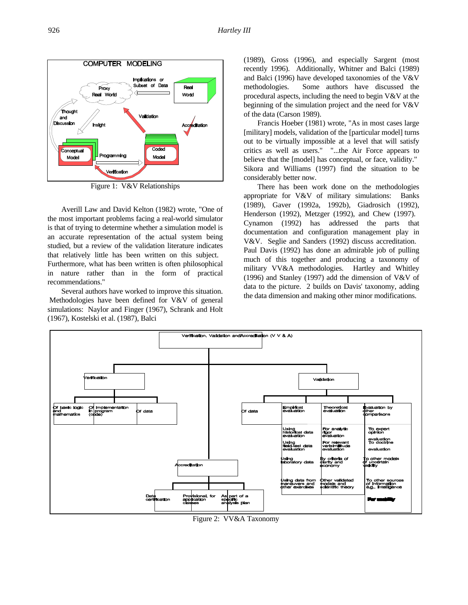

Figure 1: V&V Relationships

Averill Law and David Kelton (1982) wrote, "One of the most important problems facing a real-world simulator is that of trying to determine whether a simulation model is an accurate representation of the actual system being studied, but a review of the validation literature indicates that relatively little has been written on this subject. Furthermore, what has been written is often philosophical in nature rather than in the form of practical recommendations."

Several authors have worked to improve this situation. Methodologies have been defined for V&V of general simulations: Naylor and Finger (1967), Schrank and Holt (1967), Kostelski et al. (1987), Balci

(1989), Gross (1996), and especially Sargent (most recently 1996). Additionally, Whitner and Balci (1989) and Balci (1996) have developed taxonomies of the V&V methodologies. Some authors have discussed the procedural aspects, including the need to begin V&V at the beginning of the simulation project and the need for V&V of the data (Carson 1989).

Francis Hoeber (1981) wrote, "As in most cases large [military] models, validation of the [particular model] turns out to be virtually impossible at a level that will satisfy critics as well as users." "...the Air Force appears to believe that the [model] has conceptual, or face, validity." Sikora and Williams (1997) find the situation to be considerably better now.

There has been work done on the methodologies appropriate for V&V of military simulations: Banks (1989), Gaver (1992a, 1992b), Giadrosich (1992), Henderson (1992), Metzger (1992), and Chew (1997). Cynamon (1992) has addressed the parts that documentation and configuration management play in V&V. Seglie and Sanders (1992) discuss accreditation. Paul Davis (1992) has done an admirable job of pulling much of this together and producing a taxonomy of military VV&A methodologies. Hartley and Whitley (1996) and Stanley (1997) add the dimension of V&V of data to the picture. 2 builds on Davis' taxonomy, adding the data dimension and making other minor modifications.



Figure 2: VV&A Taxonomy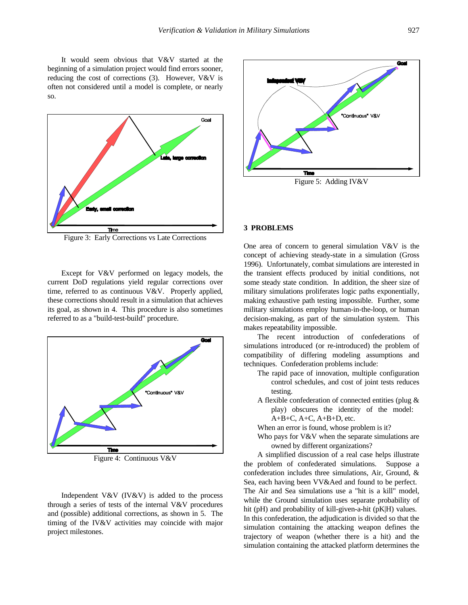It would seem obvious that V&V started at the beginning of a simulation project would find errors sooner, reducing the cost of corrections (3). However, V&V is often not considered until a model is complete, or nearly so.



Figure 3: Early Corrections vs Late Corrections

Except for V&V performed on legacy models, the current DoD regulations yield regular corrections over time, referred to as continuous V&V. Properly applied, these corrections should result in a simulation that achieves its goal, as shown in 4. This procedure is also sometimes referred to as a "build-test-build" procedure.



Figure 4: Continuous V&V

Independent V&V (IV&V) is added to the process through a series of tests of the internal V&V procedures and (possible) additional corrections, as shown in 5. The timing of the IV&V activities may coincide with major project milestones.



#### **3 PROBLEMS**

One area of concern to general simulation V&V is the concept of achieving steady-state in a simulation (Gross 1996). Unfortunately, combat simulations are interested in the transient effects produced by initial conditions, not some steady state condition. In addition, the sheer size of military simulations proliferates logic paths exponentially, making exhaustive path testing impossible. Further, some military simulations employ human-in-the-loop, or human decision-making, as part of the simulation system. This makes repeatability impossible.

The recent introduction of confederations of simulations introduced (or re-introduced) the problem of compatibility of differing modeling assumptions and techniques. Confederation problems include:

- The rapid pace of innovation, multiple configuration control schedules, and cost of joint tests reduces testing.
- A flexible confederation of connected entities (plug & play) obscures the identity of the model:  $A+B+C$ ,  $A+C$ ,  $A+B+D$ , etc.
- When an error is found, whose problem is it?
- Who pays for V&V when the separate simulations are owned by different organizations?

A simplified discussion of a real case helps illustrate the problem of confederated simulations. Suppose a confederation includes three simulations, Air, Ground, & Sea, each having been VV&Aed and found to be perfect. The Air and Sea simulations use a "hit is a kill" model, while the Ground simulation uses separate probability of hit (pH) and probability of kill-given-a-hit (pK|H) values. In this confederation, the adjudication is divided so that the simulation containing the attacking weapon defines the trajectory of weapon (whether there is a hit) and the simulation containing the attacked platform determines the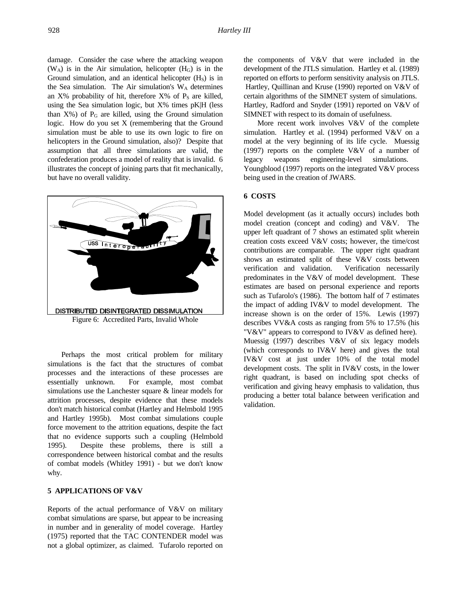damage. Consider the case where the attacking weapon  $(W_A)$  is in the Air simulation, helicopter  $(H_G)$  is in the Ground simulation, and an identical helicopter  $(H<sub>S</sub>)$  is in the Sea simulation. The Air simulation's  $W_A$  determines an  $X\%$  probability of hit, therefore  $X\%$  of  $P_S$  are killed, using the Sea simulation logic, but X% times pK|H (less than  $X\%$ ) of  $P_G$  are killed, using the Ground simulation logic. How do you set X (remembering that the Ground simulation must be able to use its own logic to fire on helicopters in the Ground simulation, also)? Despite that assumption that all three simulations are valid, the confederation produces a model of reality that is invalid. 6 illustrates the concept of joining parts that fit mechanically, but have no overall validity.



Perhaps the most critical problem for military simulations is the fact that the structures of combat processes and the interactions of these processes are essentially unknown. For example, most combat simulations use the Lanchester square & linear models for attrition processes, despite evidence that these models don't match historical combat (Hartley and Helmbold 1995 and Hartley 1995b). Most combat simulations couple force movement to the attrition equations, despite the fact that no evidence supports such a coupling (Helmbold 1995). Despite these problems, there is still a correspondence between historical combat and the results of combat models (Whitley 1991) - but we don't know why.

# **5 APPLICATIONS OF V&V**

Reports of the actual performance of V&V on military combat simulations are sparse, but appear to be increasing in number and in generality of model coverage. Hartley (1975) reported that the TAC CONTENDER model was not a global optimizer, as claimed. Tufarolo reported on

the components of V&V that were included in the development of the JTLS simulation. Hartley et al. (1989) reported on efforts to perform sensitivity analysis on JTLS. Hartley, Quillinan and Kruse (1990) reported on V&V of certain algorithms of the SIMNET system of simulations. Hartley, Radford and Snyder (1991) reported on V&V of SIMNET with respect to its domain of usefulness.

More recent work involves V&V of the complete simulation. Hartley et al. (1994) performed V&V on a model at the very beginning of its life cycle. Muessig (1997) reports on the complete V&V of a number of legacy weapons engineering-level simulations. Youngblood (1997) reports on the integrated V&V process being used in the creation of JWARS.

#### **6 COSTS**

Model development (as it actually occurs) includes both model creation (concept and coding) and V&V. The upper left quadrant of 7 shows an estimated split wherein creation costs exceed V&V costs; however, the time/cost contributions are comparable. The upper right quadrant shows an estimated split of these V&V costs between verification and validation. Verification necessarily predominates in the V&V of model development. These estimates are based on personal experience and reports such as Tufarolo's (1986). The bottom half of 7 estimates the impact of adding IV&V to model development. The increase shown is on the order of 15%. Lewis (1997) describes VV&A costs as ranging from 5% to 17.5% (his "V&V" appears to correspond to IV&V as defined here). Muessig (1997) describes V&V of six legacy models (which corresponds to IV&V here) and gives the total IV&V cost at just under 10% of the total model development costs. The split in IV&V costs, in the lower right quadrant, is based on including spot checks of verification and giving heavy emphasis to validation, thus producing a better total balance between verification and validation.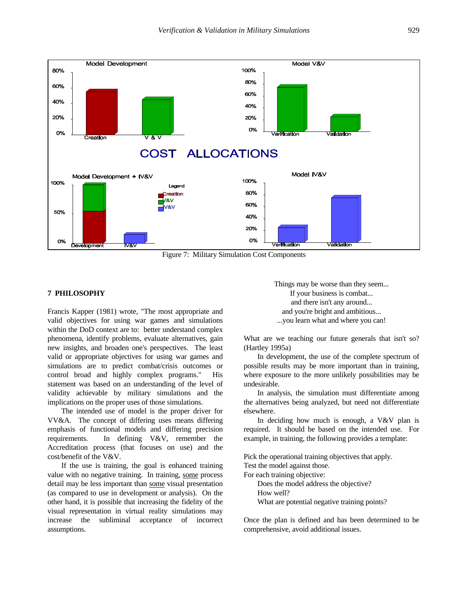

Figure 7: Military Simulation Cost Components

#### **7 PHILOSOPHY**

Francis Kapper (1981) wrote, "The most appropriate and valid objectives for using war games and simulations within the DoD context are to: better understand complex phenomena, identify problems, evaluate alternatives, gain new insights, and broaden one's perspectives. The least valid or appropriate objectives for using war games and simulations are to predict combat/crisis outcomes or control broad and highly complex programs." His statement was based on an understanding of the level of validity achievable by military simulations and the implications on the proper uses of those simulations.

The intended use of model is the proper driver for VV&A. The concept of differing uses means differing emphasis of functional models and differing precision requirements. In defining V&V, remember the Accreditation process (that focuses on use) and the cost/benefit of the V&V.

If the use is training, the goal is enhanced training value with no negative training. In training, some process detail may be less important than some visual presentation (as compared to use in development or analysis). On the other hand, it is possible that increasing the fidelity of the visual representation in virtual reality simulations may increase the subliminal acceptance of incorrect assumptions.

Things may be worse than they seem... If your business is combat... and there isn't any around... and you're bright and ambitious... ...you learn what and where you can!

What are we teaching our future generals that isn't so? (Hartley 1995a)

In development, the use of the complete spectrum of possible results may be more important than in training, where exposure to the more unlikely possibilities may be undesirable.

In analysis, the simulation must differentiate among the alternatives being analyzed, but need not differentiate elsewhere.

In deciding how much is enough, a V&V plan is required. It should be based on the intended use. For example, in training, the following provides a template:

Pick the operational training objectives that apply.

Test the model against those.

For each training objective:

Does the model address the objective? How well? What are potential negative training points?

Once the plan is defined and has been determined to be comprehensive, avoid additional issues.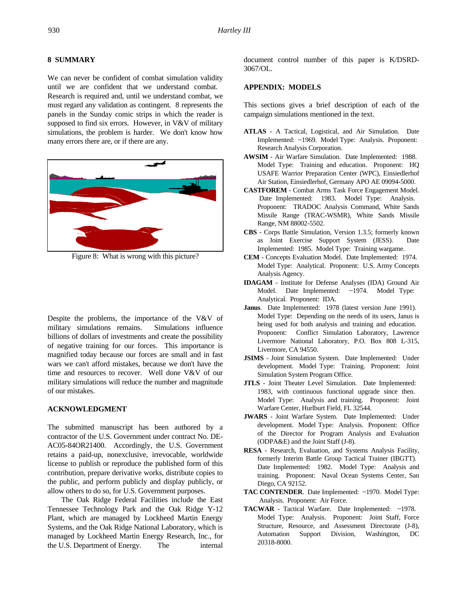# **8 SUMMARY**

We can never be confident of combat simulation validity until we are confident that we understand combat. Research is required and, until we understand combat, we must regard any validation as contingent. 8 represents the panels in the Sunday comic strips in which the reader is supposed to find six errors. However, in V&V of military simulations, the problem is harder. We don't know how many errors there are, or if there are any.



Figure 8: What is wrong with this picture?

Despite the problems, the importance of the V&V of military simulations remains. Simulations influence billions of dollars of investments and create the possibility of negative training for our forces. This importance is magnified today because our forces are small and in fast wars we can't afford mistakes, because we don't have the time and resources to recover. Well done V&V of our military simulations will reduce the number and magnitude of our mistakes.

## **ACKNOWLEDGMENT**

The submitted manuscript has been authored by a contractor of the U.S. Government under contract No. DE-AC05-84OR21400. Accordingly, the U.S. Government retains a paid-up, nonexclusive, irrevocable, worldwide license to publish or reproduce the published form of this contribution, prepare derivative works, distribute copies to the public, and perform publicly and display publicly, or allow others to do so, for U.S. Government purposes.

The Oak Ridge Federal Facilities include the East Tennessee Technology Park and the Oak Ridge Y-12 Plant, which are managed by Lockheed Martin Energy Systems, and the Oak Ridge National Laboratory, which is managed by Lockheed Martin Energy Research, Inc., for the U.S. Department of Energy. The internal

document control number of this paper is K/DSRD-3067/OL.

### **APPENDIX: MODELS**

This sections gives a brief description of each of the campaign simulations mentioned in the text.

- **ATLAS** A Tactical, Logistical, and Air Simulation. Date Implemented: ~1969. Model Type: Analysis. Proponent: Research Analysis Corporation.
- **AWSIM** Air Warfare Simulation. Date Implemented: 1988. Model Type: Training and education. Proponent: HQ USAFE Warrior Preparation Center (WPC), Einsiedlerhof Air Station, Einsiedlerhof, Germany APO AE 09094-5000.
- **CASTFOREM** Combat Arms Task Force Engagement Model. Date Implemented: 1983. Model Type: Analysis. Proponent: TRADOC Analysis Command, White Sands Missile Range (TRAC-WSMR), White Sands Missile Range, NM 88002-5502.
- **CBS** Corps Battle Simulation, Version 1.3.5; formerly known as Joint Exercise Support System (JESS). Date Implemented: 1985. Model Type: Training wargame.
- **CEM** Concepts Evaluation Model. Date Implemented: 1974. Model Type: Analytical. Proponent: U.S. Army Concepts Analysis Agency.
- **IDAGAM** Institute for Defense Analyses (IDA) Ground Air Model. Date Implemented: ~1974. Model Type: Analytical. Proponent: IDA.
- **Janus**. Date Implemented: 1978 (latest version June 1991). Model Type: Depending on the needs of its users, Janus is being used for both analysis and training and education. Proponent: Conflict Simulation Laboratory, Lawrence Livermore National Laboratory, P.O. Box 808 L-315, Livermore, CA 94550.
- **JSIMS** Joint Simulation System. Date Implemented: Under development. Model Type: Training. Proponent: Joint Simulation System Program Office.
- **JTLS** Joint Theater Level Simulation. Date Implemented: 1983, with continuous functional upgrade since then. Model Type: Analysis and training. Proponent: Joint Warfare Center, Hurlburt Field, FL 32544.
- **JWARS** Joint Warfare System. Date Implemented: Under development. Model Type: Analysis. Proponent: Office of the Director for Program Analysis and Evaluation (ODPA&E) and the Joint Staff (J-8).
- **RESA** Research, Evaluation, and Systems Analysis Facility, formerly Interim Battle Group Tactical Trainer (IBGTT). Date Implemented: 1982. Model Type: Analysis and training. Proponent: Naval Ocean Systems Center, San Diego, CA 92152.
- **TAC CONTENDER**. Date Implemented: ~1970. Model Type: Analysis. Proponent: Air Force.
- **TACWAR** Tactical Warfare. Date Implemented: ~1978. Model Type: Analysis. Proponent: Joint Staff, Force Structure, Resource, and Assessment Directorate (J-8), Automation Support Division, Washington, DC 20318-8000.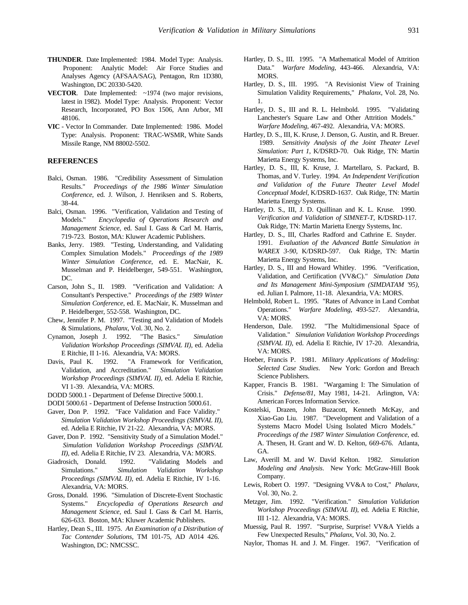- **THUNDER**. Date Implemented: 1984. Model Type: Analysis. Proponent: Analytic Model: Air Force Studies and Analyses Agency (AFSAA/SAG), Pentagon, Rm 1D380, Washington, DC 20330-5420.
- **VECTOR.** Date Implemented: ~1974 (two major revisions, latest in 1982). Model Type: Analysis. Proponent: Vector Research, Incorporated, PO Box 1506, Ann Arbor, MI 48106.
- **VIC** Vector In Commander. Date Implemented: 1986. Model Type: Analysis. Proponent: TRAC-WSMR, White Sands Missile Range, NM 88002-5502.

#### **REFERENCES**

- Balci, Osman. 1986. "Credibility Assessment of Simulation Results." *Proceedings of the 1986 Winter Simulation Conference*, ed. J. Wilson, J. Henriksen and S. Roberts, 38-44.
- Balci, Osman. 1996. "Verification, Validation and Testing of Models." *Encyclopedia of Operations Research and Management Science*, ed. Saul I. Gass & Carl M. Harris, 719-723. Boston, MA: Kluwer Academic Publishers.
- Banks, Jerry. 1989. "Testing, Understanding, and Validating Complex Simulation Models." *Proceedings of the 1989 Winter Simulation Conference*, ed. E. MacNair, K. Musselman and P. Heidelberger, 549-551. Washington, DC.
- Carson, John S., II. 1989. "Verification and Validation: A Consultant's Perspective." *Proceedings of the 1989 Winter Simulation Conference*, ed. E. MacNair, K. Musselman and P. Heidelberger, 552-558. Washington, DC.
- Chew, Jennifer P. M. 1997. "Testing and Validation of Models & Simulations, *Phalanx*, Vol. 30, No. 2.
- Cynamon, Joseph J. 1992. "The Basics." *Simulation Validation Workshop Proceedings (SIMVAL II)*, ed. Adelia E Ritchie, II 1-16. Alexandria, VA: MORS.
- Davis, Paul K. 1992. "A Framework for Verification, Validation, and Accreditation." *Simulation Validation Workshop Proceedings (SIMVAL II)*, ed. Adelia E Ritchie, VI 1-39. Alexandria, VA: MORS.
- DODD 5000.1 Department of Defense Directive 5000.1.
- DODI 5000.61 Department of Defense Instruction 5000.61.
- Gaver, Don P. 1992. "Face Validation and Face Validity." *Simulation Validation Workshop Proceedings (SIMVAL II)*, ed. Adelia E Ritchie, IV 21-22. Alexandria, VA: MORS.
- Gaver, Don P. 1992. "Sensitivity Study of a Simulation Model." *Simulation Validation Workshop Proceedings (SIMVAL II)*, ed. Adelia E Ritchie, IV 23. Alexandria, VA: MORS.
- Giadrosich, Donald. 1992. "Validating Models and Simulations." *Simulation Validation Workshop Proceedings (SIMVAL II)*, ed. Adelia E Ritchie, IV 1-16. Alexandria, VA: MORS.
- Gross, Donald. 1996. "Simulation of Discrete-Event Stochastic Systems." *Encyclopedia of Operations Research and Management Science*, ed. Saul I. Gass & Carl M. Harris, 626-633. Boston, MA: Kluwer Academic Publishers.
- Hartley, Dean S., III. 1975. *An Examination of a Distribution of Tac Contender Solutions*, TM 101-75, AD A014 426. Washington, DC: NMCSSC.
- Hartley, D. S., III. 1995. "A Mathematical Model of Attrition Data." *Warfare Modeling*, 443-466. Alexandria, VA: MORS.
- Hartley, D. S., III. 1995. "A Revisionist View of Training Simulation Validity Requirements," *Phalanx*, Vol. 28, No. 1.
- Hartley, D. S., III and R. L. Helmbold. 1995. "Validating Lanchester's Square Law and Other Attrition Models." *Warfare Modeling*, 467-492. Alexandria, VA: MORS.
- Hartley, D. S., III, K. Kruse, J. Denson, G. Austin, and R. Breuer. 1989. *Sensitivity Analysis of the Joint Theater Level Simulation: Part 1*, K/DSRD-70. Oak Ridge, TN: Martin Marietta Energy Systems, Inc.
- Hartley, D. S., III, K. Kruse, J. Martellaro, S. Packard, B. Thomas, and V. Turley. 1994. *An Independent Verification and Validation of the Future Theater Level Model Conceptual Model*, K/DSRD-1637. Oak Ridge, TN: Martin Marietta Energy Systems.
- Hartley, D. S., III, J. D. Quillinan and K. L. Kruse. 1990. *Verification and Validation of SIMNET-T*, K/DSRD-117. Oak Ridge, TN: Martin Marietta Energy Systems, Inc.
- Hartley, D. S., III, Charles Radford and Cathrine E. Snyder. 1991. *Evaluation of the Advanced Battle Simulation in WAREX 3-90*, K/DSRD-597. Oak Ridge, TN: Martin Marietta Energy Systems, Inc.
- Hartley, D. S., III and Howard Whitley. 1996. "Verification, Validation, and Certification (VV&C)." *Simulation Data and Its Management Mini-Symposium (SIMDATAM '95)*, ed. Julian I. Palmore, 11-18. Alexandria, VA: MORS.
- Helmbold, Robert L. 1995. "Rates of Advance in Land Combat Operations." *Warfare Modeling*, 493-527. Alexandria, VA: MORS.
- Henderson, Dale. 1992. "The Multidimensional Space of Validation." *Simulation Validation Workshop Proceedings (SIMVAL II)*, ed. Adelia E Ritchie, IV 17-20. Alexandria, VA: MORS.
- Hoeber, Francis P. 1981. *Military Applications of Modeling: Selected Case Studies*. New York: Gordon and Breach Science Publishers.
- Kapper, Francis B. 1981. "Wargaming I: The Simulation of Crisis." *Defense/81*, May 1981, 14-21. Arlington, VA: American Forces Information Service.
- Kostelski, Drazen, John Buzacott, Kenneth McKay, and Xiao-Gao Liu. 1987. "Development and Validation of a Systems Macro Model Using Isolated Micro Models." *Proceedings of the 1987 Winter Simulation Conference*, ed. A. Thesen, H. Grant and W. D. Kelton, 669-676. Atlanta, GA.
- Law, Averill M. and W. David Kelton. 1982. *Simulation Modeling and Analysis*. New York: McGraw-Hill Book Company.
- Lewis, Robert O. 1997. "Designing VV&A to Cost," *Phalanx*, Vol. 30, No. 2.
- Metzger, Jim. 1992. "Verification." *Simulation Validation Workshop Proceedings (SIMVAL II)*, ed. Adelia E Ritchie, III 1-12. Alexandria, VA: MORS.
- Muessig, Paul R. 1997. "Surprise, Surprise! VV&A Yields a Few Unexpected Results," *Phalanx*, Vol. 30, No. 2.
- Naylor, Thomas H. and J. M. Finger. 1967. "Verification of